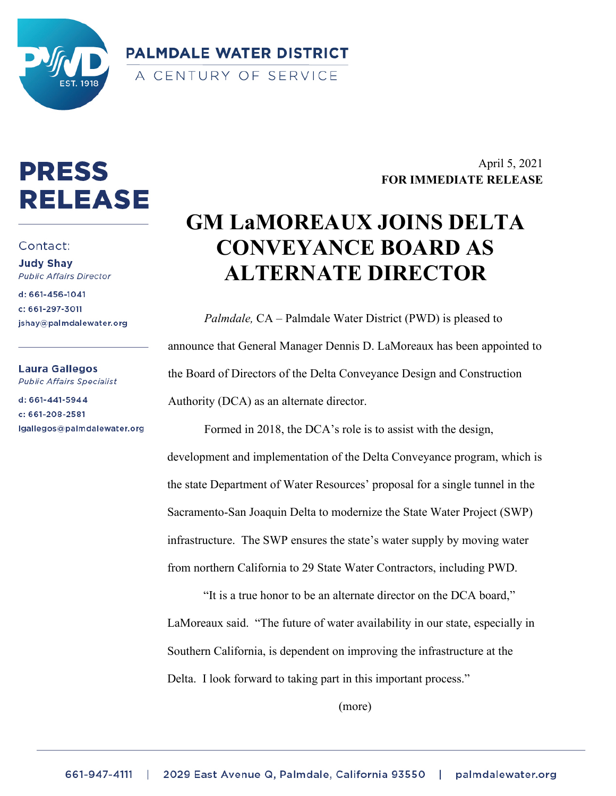

**PALMDALE WATER DISTRICT** A CENTURY OF SERVICE

## **PRESS RELEASE**

## Contact:

**Judy Shay Public Affairs Director** 

d: 661-456-1041 c: 661-297-3011 jshay@palmdalewater.org

Laura Gallegos **Public Affairs Specialist** 

d: 661-441-5944 c: 661-208-2581 lgallegos@palmdalewater.org

## April 5, 2021 **FOR IMMEDIATE RELEASE**

## **GM LaMOREAUX JOINS DELTA CONVEYANCE BOARD AS ALTERNATE DIRECTOR**

*Palmdale,* CA – Palmdale Water District (PWD) is pleased to announce that General Manager Dennis D. LaMoreaux has been appointed to the Board of Directors of the Delta Conveyance Design and Construction Authority (DCA) as an alternate director.

Formed in 2018, the DCA's role is to assist with the design, development and implementation of the Delta Conveyance program, which is the state Department of Water Resources' proposal for a single tunnel in the Sacramento-San Joaquin Delta to modernize the State Water Project (SWP) infrastructure. The SWP ensures the state's water supply by moving water from northern California to 29 State Water Contractors, including PWD.

"It is a true honor to be an alternate director on the DCA board," LaMoreaux said. "The future of water availability in our state, especially in Southern California, is dependent on improving the infrastructure at the Delta. I look forward to taking part in this important process."

(more)